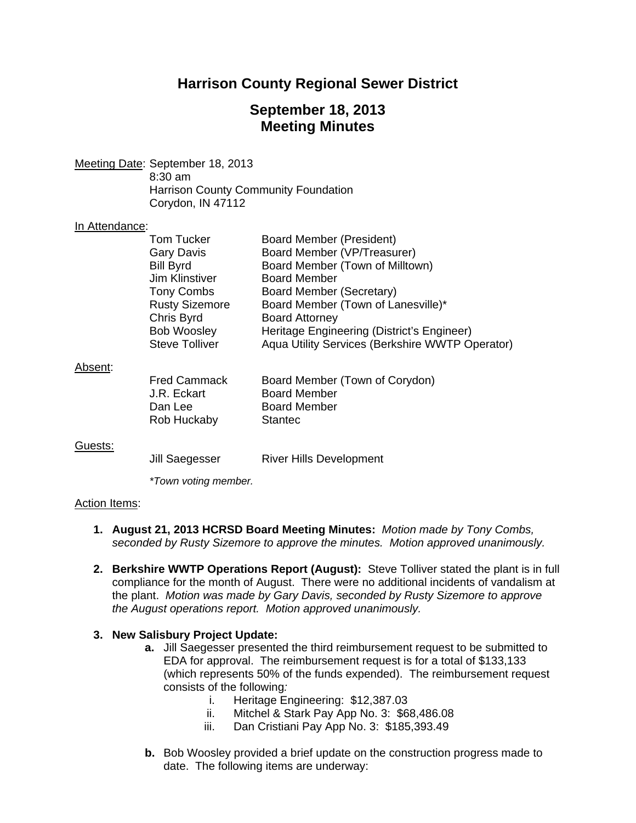# **Harrison County Regional Sewer District**

# **September 18, 2013 Meeting Minutes**

Meeting Date: September 18, 2013 8:30 am Harrison County Community Foundation Corydon, IN 47112

#### In Attendance:

|         | Tom Tucker<br><b>Gary Davis</b><br><b>Bill Byrd</b> | Board Member (President)<br>Board Member (VP/Treasurer)<br>Board Member (Town of Milltown) |
|---------|-----------------------------------------------------|--------------------------------------------------------------------------------------------|
|         | Jim Klinstiver                                      | <b>Board Member</b>                                                                        |
|         | <b>Tony Combs</b>                                   | Board Member (Secretary)                                                                   |
|         | <b>Rusty Sizemore</b>                               | Board Member (Town of Lanesville)*                                                         |
|         | Chris Byrd                                          | <b>Board Attorney</b>                                                                      |
|         | <b>Bob Woosley</b>                                  | Heritage Engineering (District's Engineer)                                                 |
|         | <b>Steve Tolliver</b>                               | Aqua Utility Services (Berkshire WWTP Operator)                                            |
| Absent: |                                                     |                                                                                            |
|         | <b>Fred Cammack</b>                                 | Board Member (Town of Corydon)                                                             |
|         | J.R. Eckart                                         | <b>Board Member</b>                                                                        |
|         | Dan Lee                                             | <b>Board Member</b>                                                                        |
|         | Rob Huckaby                                         | Stantec                                                                                    |
| Guests: |                                                     |                                                                                            |
|         | Jill Saegesser                                      | <b>River Hills Development</b>                                                             |

 *\*Town voting member.* 

### Action Items:

- **1. August 21, 2013 HCRSD Board Meeting Minutes:** *Motion made by Tony Combs, seconded by Rusty Sizemore to approve the minutes. Motion approved unanimously.*
- **2. Berkshire WWTP Operations Report (August):** Steve Tolliver stated the plant is in full compliance for the month of August. There were no additional incidents of vandalism at the plant. *Motion was made by Gary Davis, seconded by Rusty Sizemore to approve the August operations report. Motion approved unanimously.*

### **3. New Salisbury Project Update:**

- **a.** Jill Saegesser presented the third reimbursement request to be submitted to EDA for approval. The reimbursement request is for a total of \$133,133 (which represents 50% of the funds expended). The reimbursement request consists of the following*:* 
	- i. Heritage Engineering: \$12,387.03
	- ii. Mitchel & Stark Pay App No. 3: \$68,486.08
	- iii. Dan Cristiani Pay App No. 3: \$185,393.49
- **b.** Bob Woosley provided a brief update on the construction progress made to date. The following items are underway: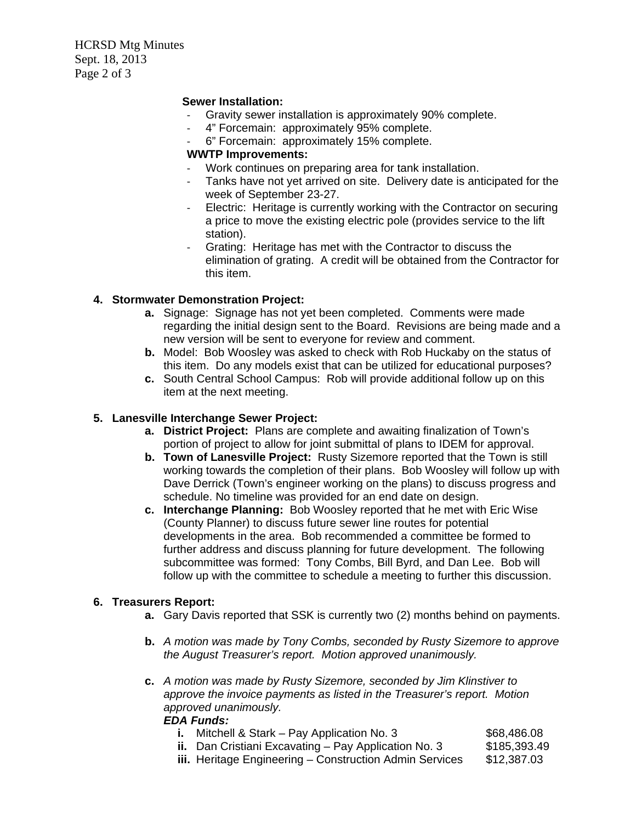HCRSD Mtg Minutes Sept. 18, 2013 Page 2 of 3

## **Sewer Installation:**

- ‐ Gravity sewer installation is approximately 90% complete.
- ‐ 4" Forcemain: approximately 95% complete.
- ‐ 6" Forcemain: approximately 15% complete.

## **WWTP Improvements:**

- Work continues on preparing area for tank installation.<br>- Tanks have not vet arrived on site. Delivery date is ant
- Tanks have not yet arrived on site. Delivery date is anticipated for the week of September 23-27.
- ‐ Electric: Heritage is currently working with the Contractor on securing a price to move the existing electric pole (provides service to the lift station).
- ‐ Grating: Heritage has met with the Contractor to discuss the elimination of grating. A credit will be obtained from the Contractor for this item.

## **4. Stormwater Demonstration Project:**

- **a.** Signage: Signage has not yet been completed. Comments were made regarding the initial design sent to the Board. Revisions are being made and a new version will be sent to everyone for review and comment.
- **b.** Model: Bob Woosley was asked to check with Rob Huckaby on the status of this item. Do any models exist that can be utilized for educational purposes?
- **c.** South Central School Campus: Rob will provide additional follow up on this item at the next meeting.

## **5. Lanesville Interchange Sewer Project:**

- **a. District Project:** Plans are complete and awaiting finalization of Town's portion of project to allow for joint submittal of plans to IDEM for approval.
- **b. Town of Lanesville Project:** Rusty Sizemore reported that the Town is still working towards the completion of their plans. Bob Woosley will follow up with Dave Derrick (Town's engineer working on the plans) to discuss progress and schedule. No timeline was provided for an end date on design.
- **c. Interchange Planning:** Bob Woosley reported that he met with Eric Wise (County Planner) to discuss future sewer line routes for potential developments in the area. Bob recommended a committee be formed to further address and discuss planning for future development. The following subcommittee was formed: Tony Combs, Bill Byrd, and Dan Lee. Bob will follow up with the committee to schedule a meeting to further this discussion.

## **6. Treasurers Report:**

- **a.** Gary Davis reported that SSK is currently two (2) months behind on payments.
- **b.** *A motion was made by Tony Combs, seconded by Rusty Sizemore to approve the August Treasurer's report. Motion approved unanimously.*
- **c.** *A motion was made by Rusty Sizemore, seconded by Jim Klinstiver to approve the invoice payments as listed in the Treasurer's report. Motion approved unanimously.*

## *EDA Funds:*

**i.** Mitchell & Stark – Pay Application No. 3 \$68,486.08 **ii.** Dan Cristiani Excavating – Pay Application No. 3 \$185,393.49 **iii.** Heritage Engineering – Construction Admin Services \$12,387.03